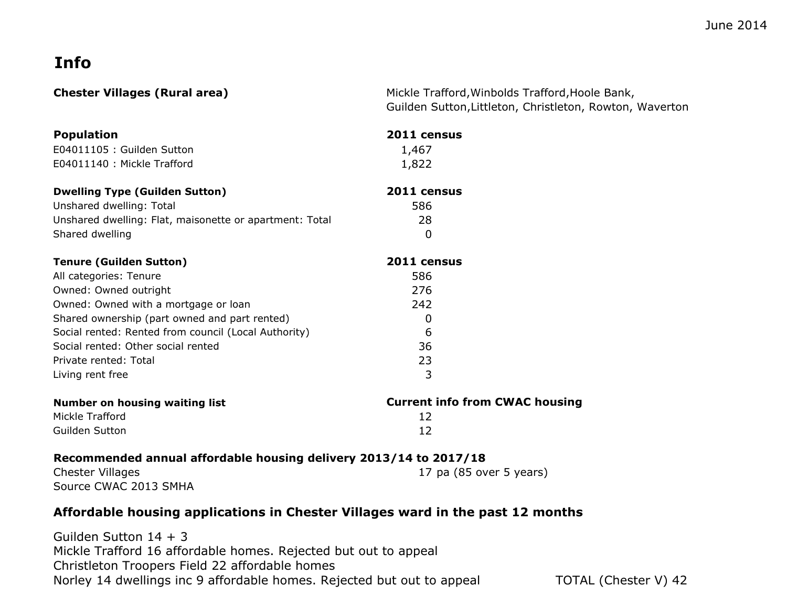## **Info**

**Chester Chester Chester Mickle Trafford, Winbolds Trafford, Hoole Bank,** Guilden Sutton,Littleton, Christleton, Rowton, Waverton

| <b>Population</b>                                                 | 2011 census                           |
|-------------------------------------------------------------------|---------------------------------------|
| E04011105 : Guilden Sutton                                        | 1,467                                 |
| E04011140 : Mickle Trafford                                       | 1,822                                 |
| <b>Dwelling Type (Guilden Sutton)</b>                             | 2011 census                           |
| Unshared dwelling: Total                                          | 586                                   |
| Unshared dwelling: Flat, maisonette or apartment: Total           | 28                                    |
| Shared dwelling                                                   | $\overline{0}$                        |
| <b>Tenure (Guilden Sutton)</b>                                    | 2011 census                           |
| All categories: Tenure                                            | 586                                   |
| Owned: Owned outright                                             | 276                                   |
| Owned: Owned with a mortgage or loan                              | 242                                   |
| Shared ownership (part owned and part rented)                     | $\Omega$                              |
| Social rented: Rented from council (Local Authority)              | 6                                     |
| Social rented: Other social rented                                | 36                                    |
| Private rented: Total                                             | 23                                    |
| Living rent free                                                  | 3                                     |
| <b>Number on housing waiting list</b>                             | <b>Current info from CWAC housing</b> |
| Mickle Trafford                                                   | 12                                    |
| Guilden Sutton                                                    | 12                                    |
| Recommended annual affordable housing delivery 2013/14 to 2017/18 |                                       |
| <b>Chester Villages</b>                                           | 17 pa (85 over 5 years)               |
| Source CWAC 2013 SMHA                                             |                                       |

## **Affordable housing applications in Chester Villages ward in the past 12 months**

Guilden Sutton 14 + 3 Mickle Trafford 16 affordable homes. Rejected but out to appeal Christleton Troopers Field 22 affordable homes Norley 14 dwellings inc 9 affordable homes. Rejected but out to appeal TOTAL (Chester V) 42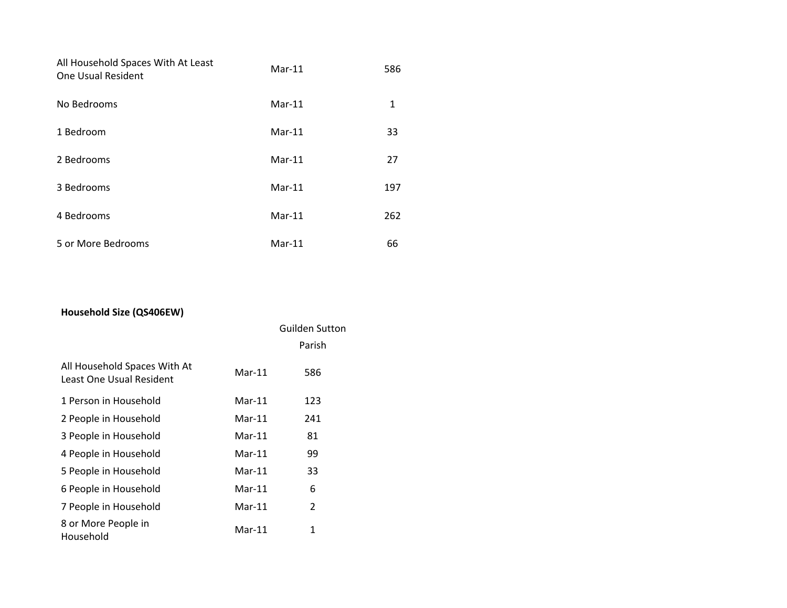| All Household Spaces With At Least<br>One Usual Resident | $Mar-11$ | 586 |
|----------------------------------------------------------|----------|-----|
| No Bedrooms                                              | $Mar-11$ | 1   |
| 1 Bedroom                                                | $Mar-11$ | 33  |
| 2 Bedrooms                                               | $Mar-11$ | 27  |
| 3 Bedrooms                                               | $Mar-11$ | 197 |
| 4 Bedrooms                                               | $Mar-11$ | 262 |
| 5 or More Bedrooms                                       | $Mar-11$ | 66  |

## **Household Size (QS406EW)**

|                                                          |          | <b>Guilden Sutton</b> |
|----------------------------------------------------------|----------|-----------------------|
|                                                          |          | Parish                |
| All Household Spaces With At<br>Least One Usual Resident | $Mar-11$ | 586                   |
| 1 Person in Household                                    | $Mar-11$ | 123                   |
| 2 People in Household                                    | $Mar-11$ | 241                   |
| 3 People in Household                                    | $Mar-11$ | 81                    |
| 4 People in Household                                    | $Mar-11$ | 99                    |
| 5 People in Household                                    | $Mar-11$ | 33                    |
| 6 People in Household                                    | $Mar-11$ | 6                     |
| 7 People in Household                                    | $Mar-11$ | 2                     |
| 8 or More People in<br>Household                         | $Mar-11$ | 1                     |